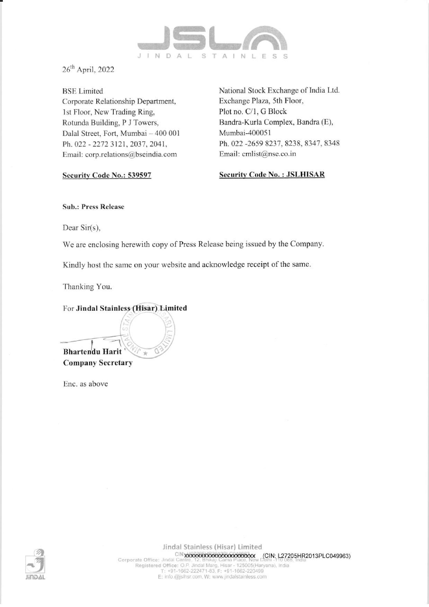

26" April, 2022

BSE Limited Corporate Relationship Department, Ist Floor, New Trading Ring, Rotunda Building, P J Towers, Dalal Street, Fort, Mumbai — 400 001 Ph, 022 - 2272 3121, 2037, 2041, Email: corp.relations@bseindia.com

Security Code No.: 539597

National Stock Exchange of India Ltd. Exchange Plaza, 5th Floor, Plot no, C/1, G Block Bandra-Kurla Complex, Bandra (E), Mumbai-400051 Ph, 022 -2659 8237, 8238, 8347, 8348 Email: cmlist@nse.co.in

Security Code No. : JSLHISAR

Sub.: Press Release

Dear Sir(s),

We are enclosing herewith copy of Press Release being issued by the Company.

Kindly host the same on your website and acknowledge receipt of the same.

Thanking You.

For Jindal Stainless (Hisar) Limited

 $\overline{\phantom{a}}$ Bhartendu Harit Company Secretary

Enc. as above



Jindal Stainless (Hisar) Limited